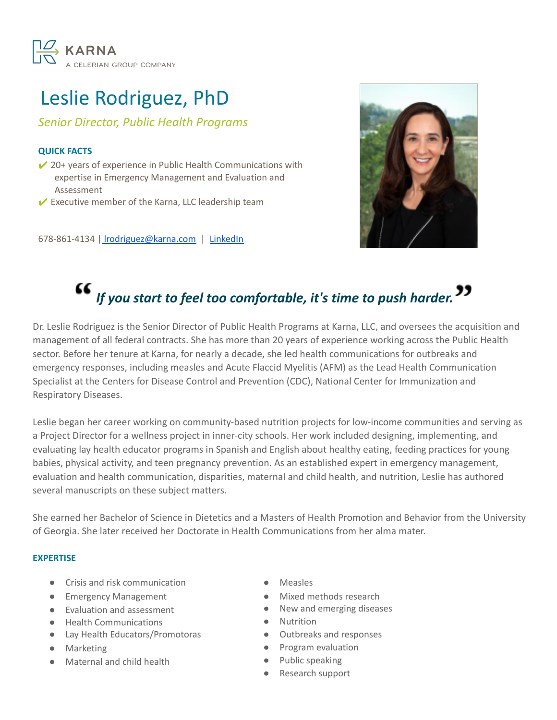

## Leslie Rodriguez, PhD

*Senior Director, Public Health Programs*

### **QUICK FACTS**

 $\vee$  20+ years of experience in Public Health Communications with expertise in Emergency Management and Evaluation and Assessment

 $\vee$  Executive member of the Karna, LLC leadership team

678-861-4134 | [lrodriguez@karna.com](mailto:lrodriguez@karna.com) | [LinkedIn](https://www.linkedin.com/in/leslie-rodriguez-36a5636/)



# *If you start to feel too comfortable, it's time to push harder.*

Dr. Leslie Rodriguez is the Senior Director of Public Health Programs at Karna, LLC, and oversees the acquisition and management of all federal contracts. She has more than 20 years of experience working across the Public Health sector. Before her tenure at Karna, for nearly a decade, she led health communications for outbreaks and emergency responses, including measles and Acute Flaccid Myelitis (AFM) as the Lead Health Communication Specialist at the Centers for Disease Control and Prevention (CDC), National Center for Immunization and Respiratory Diseases.

Leslie began her career working on community-based nutrition projects for low-income communities and serving as a Project Director for a wellness project in inner-city schools. Her work included designing, implementing, and evaluating lay health educator programs in Spanish and English about healthy eating, feeding practices for young babies, physical activity, and teen pregnancy prevention. As an established expert in emergency management, evaluation and health communication, disparities, maternal and child health, and nutrition, Leslie has authored several manuscripts on these subject matters.

She earned her Bachelor of Science in Dietetics and a Masters of Health Promotion and Behavior from the University of Georgia. She later received her Doctorate in Health Communications from her alma mater.

#### **EXPERTISE**

- Crisis and risk communication
- **•** Emergency Management
- Evaluation and assessment
- Health Communications
- Lay Health Educators/Promotoras
- Marketing
- Maternal and child health
- Measles
- Mixed methods research
- New and emerging diseases
- Nutrition
- Outbreaks and responses
- Program evaluation
- Public speaking
- Research support